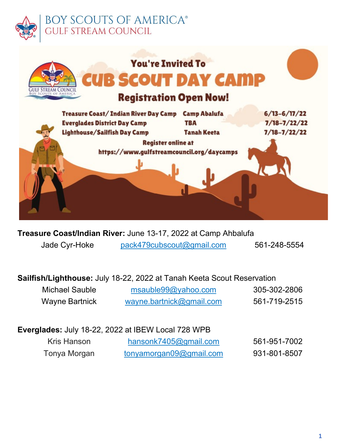

# **BOY SCOUTS OF AMERICA®** STREAM COUNCIL



**Treasure Coast/Indian River:** June 13-17, 2022 at Camp Ahbalufa Jade Cyr-Hoke [pack479cubscout@gmail.com](mailto:pack479cubscout@gmail.com) 561-248-5554

# **Sailfish/Lighthouse:** July 18-22, 2022 at Tanah Keeta Scout Reservation

| Michael Sauble        | msauble99@yahoo.com      | 305-302-2806 |
|-----------------------|--------------------------|--------------|
| <b>Wayne Bartnick</b> | wayne.bartnick@gmail.com | 561-719-2515 |

# **Everglades:** July 18-22, 2022 at IBEW Local 728 WPB

| Kris Hanson  | hansonk7405@gmail.com   | 561-951-7002 |
|--------------|-------------------------|--------------|
| Tonya Morgan | tonyamorgan09@gmail.com | 931-801-8507 |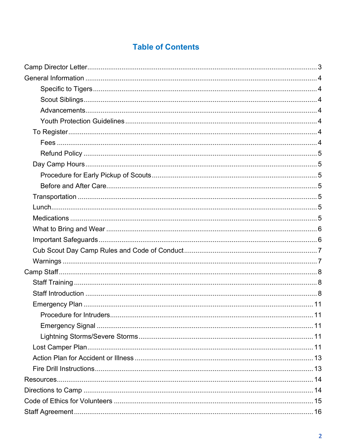# **Table of Contents**

<span id="page-1-0"></span>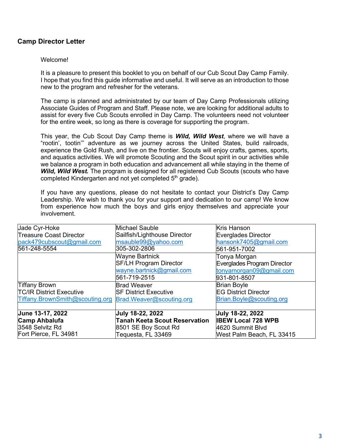# **Camp Director Letter**

#### Welcome!

It is a pleasure to present this booklet to you on behalf of our Cub Scout Day Camp Family. I hope that you find this guide informative and useful. It will serve as an introduction to those new to the program and refresher for the veterans.

The camp is planned and administrated by our team of Day Camp Professionals utilizing Associate Guides of Program and Staff. Please note, we are looking for additional adults to assist for every five Cub Scouts enrolled in Day Camp. The volunteers need not volunteer for the entire week, so long as there is coverage for supporting the program.

This year, the Cub Scout Day Camp theme is *Wild, Wild West*, where we will have a "rootin', tootin'" adventure as we journey across the United States, build railroads, experience the Gold Rush, and live on the frontier. Scouts will enjoy crafts, games, sports, and aquatics activities. We will promote Scouting and the Scout spirit in our activities while we balance a program in both education and advancement all while staying in the theme of *Wild, Wild West.* The program is designed for all registered Cub Scouts (scouts who have completed Kindergarten and not yet completed 5<sup>th</sup> grade).

If you have any questions, please do not hesitate to contact your District's Day Camp Leadership. We wish to thank you for your support and dedication to our camp! We know from experience how much the boys and girls enjoy themselves and appreciate your involvement.

| Jade Cyr-Hoke                   | Michael Sauble                       | <b>Kris Hanson</b>           |
|---------------------------------|--------------------------------------|------------------------------|
| <b>Treasure Coast Director</b>  | Sailfish/Lighthouse Director         | Everglades Director          |
| pack479cubscout@gmail.com       | msauble99@yahoo.com                  | hansonk7405@gmail.com        |
| 561-248-5554                    | 305-302-2806                         | 561-951-7002                 |
|                                 | Wayne Bartnick                       | Tonya Morgan                 |
|                                 | <b>SF/LH Program Director</b>        | Everglades Program Director  |
|                                 | wayne.bartnick@gmail.com             | tonyamorgan09@gmail.com      |
|                                 | 561-719-2515                         | 931-801-8507                 |
| <b>Tiffany Brown</b>            | <b>Brad Weaver</b>                   | <b>Brian Boyle</b>           |
| <b>TC/IR District Executive</b> | <b>ISF District Executive</b>        | <b>IEG District Director</b> |
| Tiffany.BrownSmith@scouting.org | Brad.Weaver@scouting.org             | Brian.Boyle@scouting.org     |
|                                 |                                      |                              |
| June 13-17, 2022                | July 18-22, 2022                     | <b>July 18-22, 2022</b>      |
| <b>Camp Ahbalufa</b>            | <b>Tanah Keeta Scout Reservation</b> | <b>IBEW Local 728 WPB</b>    |
| 3548 Selvitz Rd                 | 8501 SE Boy Scout Rd                 | 4620 Summit Blvd             |
| Fort Pierce, FL 34981           | Tequesta, FL 33469                   | West Palm Beach, FL 33415    |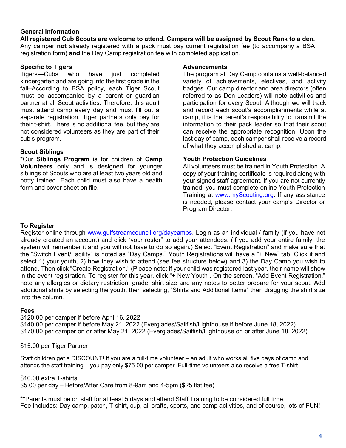#### <span id="page-3-0"></span>**General Information**

**All registered Cub Scouts are welcome to attend. Campers will be assigned by Scout Rank to a den.** Any camper **not** already registered with a pack must pay current registration fee (to accompany a BSA registration form) **and** the Day Camp registration fee with completed application.

#### **Specific to Tigers**

Tigers—Cubs who have just completed kindergarten and are going into the first grade in the fall–According to BSA policy, each Tiger Scout must be accompanied by a parent or guardian partner at all Scout activities. Therefore, this adult must attend camp every day and must fill out a separate registration. Tiger partners only pay for their t-shirt. There is no additional fee, but they are not considered volunteers as they are part of their cub's program.

#### **Scout Siblings**

\*Our **Siblings Program** is for children of **Camp Volunteers** only and is designed for younger siblings of Scouts who are at least two years old and potty trained. Each child must also have a health form and cover sheet on file.

#### **Advancements**

The program at Day Camp contains a well-balanced variety of achievements, electives, and activity badges. Our camp director and area directors (often referred to as Den Leaders) will note activities and participation for every Scout. Although we will track and record each scout's accomplishments while at camp, it is the parent's responsibility to transmit the information to their pack leader so that their scout can receive the appropriate recognition. Upon the last day of camp, each camper shall receive a record of what they accomplished at camp.

#### **Youth Protection Guidelines**

All volunteers must be trained in Youth Protection. A copy of your training certificate is required along with your signed staff agreement. If you are not currently trained, you must complete online Youth Protection Training at [www.myScouting.org. I](http://www.myscouting.org/)f any assistance is needed, please contact your camp's Director or Program Director.

## **To Register**

Register online through [www.gulfstreamcouncil.org/daycamps. L](http://www.gulfstreamcouncil.org/daycamps)ogin as an individual / family (if you have not already created an account) and click "your roster" to add your attendees. (If you add your entire family, the system will remember it and you will not have to do so again.) Select "Event Registration" and make sure that the "Switch Event/Facility" is noted as "Day Camps." Youth Registrations will have a "+ New" tab. Click it and select 1) your youth, 2) how they wish to attend (see fee structure below) and 3) the Day Camp you wish to attend. Then click "Create Registration." (Please note: if your child was registered last year, their name will show in the event registration. To register for this year, click "+ New Youth". On the screen, "Add Event Registration," note any allergies or dietary restriction, grade, shirt size and any notes to better prepare for your scout. Add additional shirts by selecting the youth, then selecting, "Shirts and Additional Items" then dragging the shirt size into the column.

#### **Fees**

\$120.00 per camper if before April 16, 2022 \$140.00 per camper if before May 21, 2022 (Everglades/Sailfish/Lighthouse if before June 18, 2022) \$170.00 per camper on or after May 21, 2022 (Everglades/Sailfish/Lighthouse on or after June 18, 2022)

#### \$15.00 per Tiger Partner

Staff children get a DISCOUNT! If you are a full-time volunteer – an adult who works all five days of camp and attends the staff training – you pay only \$75.00 per camper. Full-time volunteers also receive a free T-shirt.

#### \$10.00 extra T-shirts

\$5.00 per day – Before/After Care from 8-9am and 4-5pm (\$25 flat fee)

\*\*Parents must be on staff for at least 5 days and attend Staff Training to be considered full time. Fee Includes: Day camp, patch, T-shirt, cup, all crafts, sports, and camp activities, and of course, lots of FUN!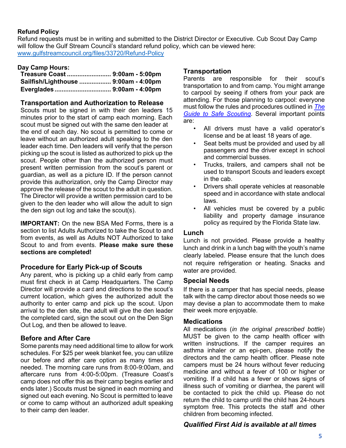## <span id="page-4-0"></span>**Refund Policy**

Refund requests must be in writing and submitted to the District Director or Executive. Cub Scout Day Camp will follow the Gulf Stream Council's standard refund policy, which can be viewed here: [www.gulfstreamcouncil.org/files/33720/Refund-Policy](http://www.gulfstreamcouncil.org/files/33720/Refund-Policy)

# **Day Camp Hours: Transportation**

| Treasure Coast  9:00am - 5:00pm      |  |
|--------------------------------------|--|
| Sailfish/Lighthouse  9:00am - 4:00pm |  |
|                                      |  |

#### **Transportation and Authorization to Release**

Scouts must be signed in with their den leaders 15 minutes prior to the start of camp each morning. Each scout must be signed out with the same den leader at the end of each day. No scout is permitted to come or leave without an authorized adult speaking to the den leader each time. Den leaders will verify that the person picking up the scout is listed as authorized to pick up the scout. People other than the authorized person must present written permission from the scout's parent or guardian, as well as a picture ID. If the person cannot provide this authorization, only the Camp Director may approve the release of the scout to the adult in question. The Director will provide a written permission card to be given to the den leader who will allow the adult to sign the den sign out log and take the scout(s).

**IMPORTANT:** On the new BSA Med Forms, there is a section to list Adults Authorized to take the Scout to and from events, as well as Adults NOT Authorized to take Scout to and from events. **Please make sure these sections are completed!**

# **Procedure for Early Pick-up of Scouts**

Any parent, who is picking up a child early from camp must first check in at Camp Headquarters. The Camp Director will provide a card and directions to the scout's current location, which gives the authorized adult the authority to enter camp and pick up the scout. Upon arrival to the den site, the adult will give the den leader the completed card, sign the scout out on the Den Sign Out Log, and then be allowed to leave.

# **Before and After Care**

Some parents may need additional time to allow for work schedules. For \$25 per week blanket fee, you can utilize our before and after care option as many times as needed. The morning care runs from 8:00-9:00am, and aftercare runs from 4:00-5:00pm. (Treasure Coast's camp does not offer this as their camp begins earlier and ends later.) Scouts must be signed in each morning and signed out each evening. No Scout is permitted to leave or come to camp without an authorized adult speaking to their camp den leader.

Parents are responsible for their scout's transportation to and from camp. You might arrange to carpool by seeing if others from your pack are attending. For those planning to carpool: everyone must follow the rules and procedures outlined in *The Guide to Safe Scouting*. Several important points are:

- All drivers must have a valid operator's license and be at least 18 years of age.
- Seat belts must be provided and used by all passengers and the driver except in school and commercial busses.
- Trucks, trailers, and campers shall not be used to transport Scouts and leaders except in the cab.
- Drivers shall operate vehicles at reasonable speed and in accordance with state andlocal laws.
- All vehicles must be covered by a public liability and property damage insurance policy as required by the Florida State law.

#### **Lunch**

Lunch is not provided. Please provide a healthy lunch and drink in a lunch bag with the youth's name clearly labeled. Please ensure that the lunch does not require refrigeration or heating. Snacks and water are provided.

#### **Special Needs**

If there is a camper that has special needs, please talk with the camp director about those needs so we may devise a plan to accommodate them to make their week more enjoyable.

#### **Medications**

All medications (*in the original prescribed bottle*) MUST be given to the camp health officer with written instructions. If the camper requires an asthma inhaler or an epi-pen, please notify the directors and the camp health officer. Please note campers must be 24 hours without fever reducing medicine and without a fever of 100 or higher or vomiting. If a child has a fever or shows signs of illness such of vomiting or diarrhea, the parent will be contacted to pick the child up. Please do not return the child to camp until the child has 24-hours symptom free. This protects the staff and other children from becoming infected.

# *Qualified First Aid is available at all times*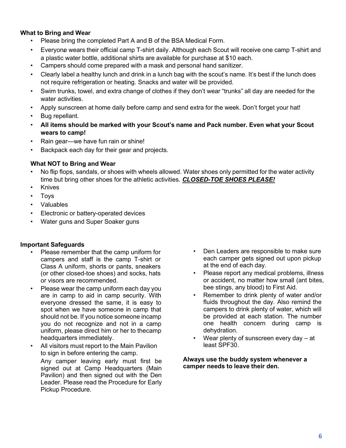#### <span id="page-5-0"></span>**What to Bring and Wear**

- Please bring the completed Part A and B of the BSA Medical Form.
- Everyone wears their official camp T-shirt daily. Although each Scout will receive one camp T-shirt and a plastic water bottle, additional shirts are available for purchase at \$10 each.
- Campers should come prepared with a mask and personal hand sanitizer.
- Clearly label a healthy lunch and drink in a lunch bag with the scout's name. It's best if the lunch does not require refrigeration or heating. Snacks and water will be provided.
- Swim trunks, towel, and extra change of clothes if they don't wear "trunks" all day are needed for the water activities.
- Apply sunscreen at home daily before camp and send extra for the week. Don't forget your hat!
- Bug repellant.
- **All items should be marked with your Scout's name and Pack number. Even what your Scout wears to camp!**
- Rain gear—we have fun rain or shine!
- Backpack each day for their gear and projects.

#### **What NOT to Bring and Wear**

- No flip flops, sandals, or shoes with wheels allowed. Water shoes only permitted for the water activity time but bring other shoes for the athletic activities. *CLOSED-TOE SHOES PLEASE!*
- **Knives**
- Toys
- Valuables
- Electronic or battery-operated devices
- Water guns and Super Soaker guns

#### **Important Safeguards**

- Please remember that the camp uniform for campers and staff is the camp T-shirt or Class A uniform, shorts or pants, sneakers (or other closed-toe shoes) and socks, hats or visors are recommended.
- Please wear the camp uniform each day you are in camp to aid in camp security. With everyone dressed the same, it is easy to spot when we have someone in camp that should not be. If you notice someone incamp you do not recognize and not in a camp uniform, please direct him or her to thecamp headquarters immediately.
- All visitors must report to the Main Pavilion to sign in before entering the camp. Any camper leaving early must first be signed out at Camp Headquarters (Main Pavilion) and then signed out with the Den Leader. Please read the Procedure for Early Pickup Procedure.
- Den Leaders are responsible to make sure each camper gets signed out upon pickup at the end of each day.
- Please report any medical problems, illness or accident, no matter how small (ant bites, bee stings, any blood) to First Aid.
- Remember to drink plenty of water and/or fluids throughout the day. Also remind the campers to drink plenty of water, which will be provided at each station. The number one health concern during camp is dehydration.
- Wear plenty of sunscreen every day at least SPF30.

**Always use the buddy system whenever a camper needs to leave their den.**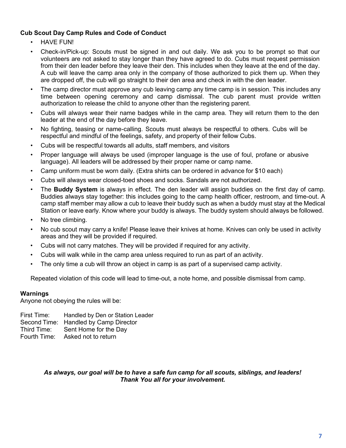# <span id="page-6-0"></span>**Cub Scout Day Camp Rules and Code of Conduct**

- HAVE FUN!
- Check-in/Pick-up: Scouts must be signed in and out daily. We ask you to be prompt so that our volunteers are not asked to stay longer than they have agreed to do. Cubs must request permission from their den leader before they leave their den. This includes when they leave at the end of the day. A cub will leave the camp area only in the company of those authorized to pick them up. When they are dropped off, the cub will go straight to their den area and check in with the den leader.
- The camp director must approve any cub leaving camp any time camp is in session. This includes any time between opening ceremony and camp dismissal. The cub parent must provide written authorization to release the child to anyone other than the registering parent.
- Cubs will always wear their name badges while in the camp area. They will return them to the den leader at the end of the day before they leave.
- No fighting, teasing or name-calling. Scouts must always be respectful to others. Cubs will be respectful and mindful of the feelings, safety, and property of their fellow Cubs.
- Cubs will be respectful towards all adults, staff members, and visitors
- Proper language will always be used (improper language is the use of foul, profane or abusive language). All leaders will be addressed by their proper name or camp name.
- Camp uniform must be worn daily. (Extra shirts can be ordered in advance for \$10 each)
- Cubs will always wear closed-toed shoes and socks. Sandals are not authorized.
- The **Buddy System** is always in effect. The den leader will assign buddies on the first day of camp. Buddies always stay together: this includes going to the camp health officer, restroom, and time-out. A camp staff member may allow a cub to leave their buddy such as when a buddy must stay at the Medical Station or leave early. Know where your buddy is always. The buddy system should always be followed.
- No tree climbing.
- No cub scout may carry a knife! Please leave their knives at home. Knives can only be used in activity areas and they will be provided if required.
- Cubs will not carry matches. They will be provided if required for any activity.
- Cubs will walk while in the camp area unless required to run as part of an activity.
- The only time a cub will throw an object in camp is as part of a supervised camp activity.

Repeated violation of this code will lead to time-out, a note home, and possible dismissal from camp.

#### **Warnings**

Anyone not obeying the rules will be:

| First Time: Handled by Den or Station Leader |
|----------------------------------------------|
| Second Time: Handled by Camp Director        |
| Third Time: Sent Home for the Day            |
| Fourth Time: Asked not to return             |

#### *As always, our goal will be to have a safe fun camp for all scouts, siblings, and leaders! Thank You all for your involvement.*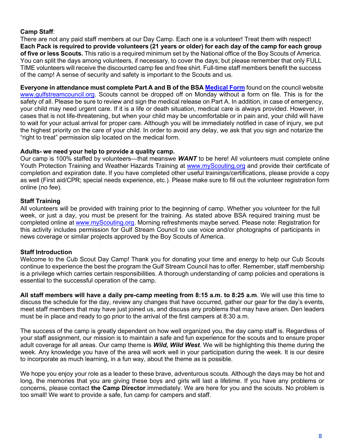#### <span id="page-7-0"></span>**Camp Staff**:

There are not any paid staff members at our Day Camp. Each one is a volunteer! Treat them with respect! Each Pack is required to provide volunteers (21 years or older) for each day of the camp for each group **of five or less Scouts.** This ratio is a required minimum set by the National office of the Boy Scouts of America. You can split the days among volunteers, if necessary, to cover the days; but please remember that only FULL TIME volunteers will receive the discounted camp fee and free shirt. Full-time staff members benefit the success of the camp! A sense of security and safety is important to the Scouts and us.

**Everyone in attendance must complete Part A and B of the BSA Medical Form** found on the council website [www.gulfstreamcouncil.org. S](http://www.gulfstreamcouncil.org/)couts cannot be dropped off on Monday without a form on file. This is for the safety of all. Please be sure to review and sign the medical release on Part A. In addition, in case of emergency, your child may need urgent care. If it is a life or death situation, medical care is always provided. However, in cases that is not life-threatening, but when your child may be uncomfortable or in pain and, your child will have to wait for your actual arrival for proper care. Although you will be immediately notified in case of injury, we put the highest priority on the care of your child. In order to avoid any delay, we ask that you sign and notarize the "right to treat" permission slip located on the medical form.

#### **Adults- we need your help to provide a quality camp.**

Our camp is 100% staffed by volunteers—that meanswe *WANT* to be here! All volunteers must complete online Youth Protection Training and Weather Hazards Training at [www.myScouting.org](http://www.myscouting.org/) and provide their certificate of completion and expiration date. If you have completed other useful trainings/certifications, please provide a copy as well (First aid/CPR; special needs experience, etc.). Please make sure to fill out the volunteer registration form online (no fee).

### **Staff Training**

All volunteers will be provided with training prior to the beginning of camp. Whether you volunteer for the full week, or just a day, you must be present for the training. As stated above BSA required training must be completed online at [www.myScouting.org.](http://www.myscouting.org/) Morning refreshments maybe served. Please note: Registration for this activity includes permission for Gulf Stream Council to use voice and/or photographs of participants in news coverage or similar projects approved by the Boy Scouts of America.

#### **Staff Introduction**

Welcome to the Cub Scout Day Camp! Thank you for donating your time and energy to help our Cub Scouts continue to experience the best the program the Gulf Stream Council has to offer. Remember, staff membership is a privilege which carries certain responsibilities. A thorough understanding of camp policies and operations is essential to the successful operation of the camp.

**All staff members will have a daily pre-camp meeting from 8:15 a.m. to 8:25 a.m**. We will use this time to discuss the schedule for the day, review any changes that have occurred, gather our gear for the day's events, meet staff members that may have just joined us, and discuss any problems that may have arisen. Den leaders must be in place and ready to go prior to the arrival of the first campers at 8:30 a.m.

The success of the camp is greatly dependent on how well organized you, the day camp staff is. Regardless of your staff assignment, our mission is to maintain a safe and fun experience for the scouts and to ensure proper adult coverage for all areas. Our camp theme is *Wild, Wild West*. We will be highlighting this theme during the week. Any knowledge you have of the area will work well in your participation during the week. It is our desire to incorporate as much learning, in a fun way, about the theme as is possible.

We hope you enjoy your role as a leader to these brave, adventurous scouts. Although the days may be hot and long, the memories that you are giving these boys and girls will last a lifetime. If you have any problems or concerns, please contact **the Camp Director** immediately. We are here for you and the scouts. No problem is too small! We want to provide a safe, fun camp for campers and staff.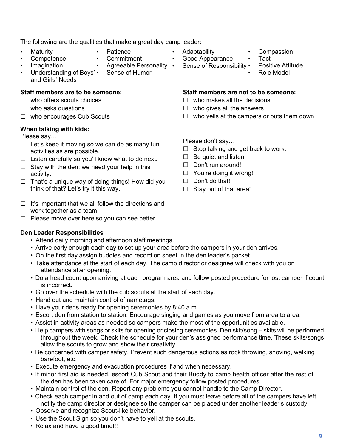The following are the qualities that make a great day camp leader:

- **Maturity Competence**
- **Patience**
- **Commitment**
- **Imagination**
- Agreeable Personality Sense of Humor
- Understanding of Boys' and Girls' Needs

# **Staff members are to be someone:**

- ☐ who offers scouts choices
- $\Box$  who asks questions
- ☐ who encourages Cub Scouts

# **When talking with kids:**

Please say…

- $\Box$  Let's keep it moving so we can do as many fun activities as are possible.
- $\Box$  Listen carefully so you'll know what to do next.
- $\Box$  Stay with the den; we need your help in this activity.
- $\Box$  That's a unique way of doing things! How did you think of that? Let's try it this way.
- $\Box$  It's important that we all follow the directions and work together as a team.
- ☐ Please move over here so you can see better.

# **Den Leader Responsibilities**

- Attend daily morning and afternoon staff meetings.
- Arrive early enough each day to set up your area before the campers in your den arrives.
- On the first day assign buddies and record on sheet in the den leader's packet.
- Take attendance at the start of each day. The camp director or designee will check with you on attendance after opening.
- Do a head count upon arriving at each program area and follow posted procedure for lost camper if count is incorrect.
- Go over the schedule with the cub scouts at the start of each day.
- Hand out and maintain control of nametags.
- Have your dens ready for opening ceremonies by 8:40 a.m.
- Escort den from station to station. Encourage singing and games as you move from area to area.
- Assist in activity areas as needed so campers make the most of the opportunities available.
- Help campers with songs or skits for opening or closing ceremonies. Den skit/song skits will be performed throughout the week. Check the schedule for your den's assigned performance time. These skits/songs allow the scouts to grow and show their creativity.
- Be concerned with camper safety. Prevent such dangerous actions as rock throwing, shoving, walking barefoot, etc.
- Execute emergency and evacuation procedures if and when necessary.
- If minor first aid is needed, escort Cub Scout and their Buddy to camp health officer after the rest of the den has been taken care of. For major emergency follow posted procedures.
- Maintain control of the den. Report any problems you cannot handle to the Camp Director.
- Check each camper in and out of camp each day. If you must leave before all of the campers have left, notify the camp director or designee so the camper can be placed under another leader's custody.
- Observe and recognize Scout-like behavior.
- Use the Scout Sign so you don't have to yell at the scouts.
- Relax and have a good time!!!
- Adaptability
- Good Appearance
- Sense of Responsibility
	- Positive Attitude • Role Model

• Tact

**Compassion** 

#### **Staff members are not to be someone:**

- $\Box$  who makes all the decisions
- $\Box$  who gives all the answers
- $\Box$  who yells at the campers or puts them down

Please don't say…

- $\Box$  Stop talking and get back to work.
- $\Box$  Be quiet and listen!
- □ Don't run around!
- ☐ You're doing it wrong!
- $\Box$  Don't do that!
- $\Box$  Stay out of that area!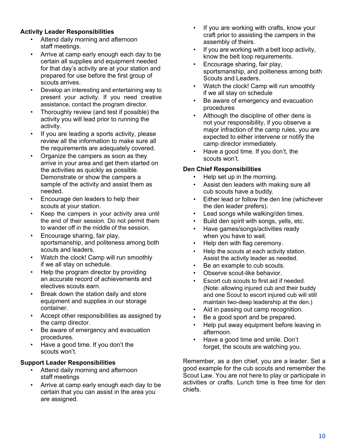## **Activity Leader Responsibilities**

- Attend daily morning and afternoon staff meetings.
- Arrive at camp early enough each day to be certain all supplies and equipment needed for that day's activity are at your station and prepared for use before the first group of scouts arrives.
- Develop an interesting and entertaining way to present your activity. If you need creative assistance, contact the program director.
- Thoroughly review (and test if possible) the activity you will lead prior to running the activity.
- If you are leading a sports activity, please review all the information to make sure all the requirements are adequately covered.
- Organize the campers as soon as they arrive in your area and get them started on the activities as quickly as possible. Demonstrate or show the campers a sample of the activity and assist them as needed.
- Encourage den leaders to help their scouts at your station.
- Keep the campers in your activity area until the end of their session. Do not permit them to wander off in the middle of the session.
- Encourage sharing, fair play, sportsmanship, and politeness among both scouts and leaders.
- Watch the clock! Camp will run smoothly if we all stay on schedule.
- Help the program director by providing an accurate record of achievements and electives scouts earn.
- Break down the station daily and store equipment and supplies in our storage container.
- Accept other responsibilities as assigned by the camp director.
- Be aware of emergency and evacuation procedures.
- Have a good time. If you don't the scouts won't.

#### **Support Leader Responsibilities**

- Attend daily morning and afternoon staff meetings
- Arrive at camp early enough each day to be certain that you can assist in the area you are assigned.
- If you are working with crafts, know your craft prior to assisting the campers in the assembly of theirs.
- If you are working with a belt loop activity, know the belt loop requirements.
- Encourage sharing, fair play, sportsmanship, and politeness among both Scouts and Leaders.
- Watch the clock! Camp will run smoothly if we all stay on schedule
- Be aware of emergency and evacuation procedures
- Although the discipline of other dens is not your responsibility, if you observe a major infraction of the camp rules, you are expected to either intervene or notify the camp director immediately.
- Have a good time. If you don't, the scouts won't.

### **Den Chief Responsibilities**

- Help set up in the morning.
- Assist den leaders with making sure all cub scouts have a buddy.
- Either lead or follow the den line (whichever the den leader prefers).
- Lead songs while walking/den times.
- Build den spirit with songs, yells, etc.
- Have games/songs/activities ready when you have to wait.
- Help den with flag ceremony.
- Help the scouts at each activity station. Assist the activity leader as needed.
- Be an example to cub scouts.
- Observe scout-like behavior.
- Escort cub scouts to first aid if needed. (Note: allowing injured cub and their buddy and one Scout to escort injured cub will still maintain two-deep leadership at the den.)
- Aid in passing out camp recognition.
- Be a good sport and be prepared.
- Help put away equipment before leaving in afternoon.
- Have a good time and smile. Don't forget, the scouts are watching you.

Remember, as a den chief, you are a leader. Set a good example for the cub scouts and remember the Scout Law. You are not here to play or participate in activities or crafts. Lunch time is free time for den chiefs.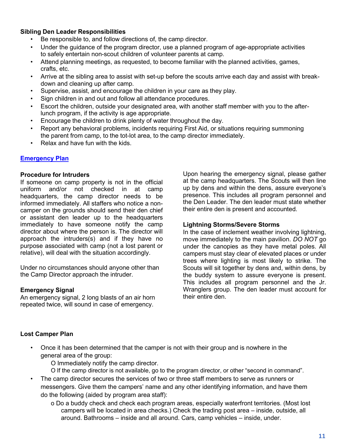#### <span id="page-10-0"></span>**Sibling Den Leader Responsibilities**

- Be responsible to, and follow directions of, the camp director.
- Under the guidance of the program director, use a planned program of age-appropriate activities to safely entertain non-scout children of volunteer parents at camp.
- Attend planning meetings, as requested, to become familiar with the planned activities, games, crafts, etc.
- Arrive at the sibling area to assist with set-up before the scouts arrive each day and assist with breakdown and cleaning up after camp.
- Supervise, assist, and encourage the children in your care as they play.
- Sign children in and out and follow all attendance procedures.
- Escort the children, outside your designated area, with another staff member with you to the afterlunch program, if the activity is age appropriate.
- Encourage the children to drink plenty of water throughout the day.
- Report any behavioral problems, incidents requiring First Aid, or situations requiring summoning the parent from camp, to the tot-lot area, to the camp director immediately.
- Relax and have fun with the kids.

### **Emergency Plan**

#### **Procedure for Intruders**

If someone on camp property is not in the official uniform and/or not checked in at camp headquarters, the camp director needs to be informed immediately. All staffers who notice a noncamper on the grounds should send their den chief or assistant den leader up to the headquarters immediately to have someone notify the camp director about where the person is. The director will approach the intruders(s) and if they have no purpose associated with camp (not a lost parent or relative), will deal with the situation accordingly.

Under no circumstances should anyone other than the Camp Director approach the intruder.

#### **Emergency Signal**

An emergency signal, 2 long blasts of an air horn repeated twice, will sound in case of emergency.

Upon hearing the emergency signal, please gather at the camp headquarters. The Scouts will then line up by dens and within the dens, assure everyone's presence. This includes all program personnel and the Den Leader. The den leader must state whether their entire den is present and accounted.

#### **Lightning Storms/Severe Storms**

In the case of inclement weather involving lightning, move immediately to the main pavilion. *DO NOT* go under the canopies as they have metal poles. All campers must stay clear of elevated places or under trees where lighting is most likely to strike. The Scouts will sit together by dens and, within dens, by the buddy system to assure everyone is present. This includes all program personnel and the Jr. Wranglers group. The den leader must account for their entire den.

#### **Lost Camper Plan**

- Once it has been determined that the camper is not with their group and is nowhere in the general area of the group:
	- O Immediately notify the camp director.
	- O If the camp director is not available, go to the program director, or other "second in command".
- The camp director secures the services of two or three staff members to serve as runners or messengers. Give them the campers' name and any other identifying information, and have them do the following (aided by program area staff):
	- o Do a buddy check and check each program areas, especially waterfront territories. (Most lost campers will be located in area checks.) Check the trading post area – inside, outside, all around. Bathrooms – inside and all around. Cars, camp vehicles – inside, under.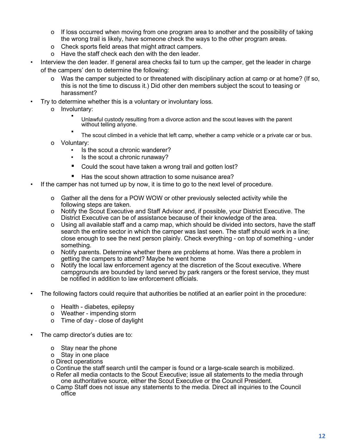- o If loss occurred when moving from one program area to another and the possibility of taking the wrong trail is likely, have someone check the ways to the other program areas.
- o Check sports field areas that might attract campers.
- o Have the staff check each den with the den leader.
- Interview the den leader. If general area checks fail to turn up the camper, get the leader in charge of the campers' den to determine the following:
	- o Was the camper subjected to or threatened with disciplinary action at camp or at home? (If so, this is not the time to discuss it.) Did other den members subject the scout to teasing or harassment?
- Try to determine whether this is a voluntary or involuntary loss.
	- o Involuntary: ▪
		- Unlawful custody resulting from a divorce action and the scout leaves with the parent without telling anyone.
		- The scout climbed in a vehicle that left camp, whether a camp vehicle or a private car or bus.
	- o Voluntary:
		- Is the scout a chronic wanderer?
		- Is the scout a chronic runaway?
		- Could the scout have taken a wrong trail and gotten lost?
		- Has the scout shown attraction to some nuisance area?
- If the camper has not turned up by now, it is time to go to the next level of procedure.
	- o Gather all the dens for a POW WOW or other previously selected activity while the following steps are taken.
	- o Notify the Scout Executive and Staff Advisor and, if possible, your District Executive. The District Executive can be of assistance because of their knowledge of the area.
	- o Using all available staff and a camp map, which should be divided into sectors, have the staff search the entire sector in which the camper was last seen. The staff should work in a line; close enough to see the next person plainly. Check everything - on top of something - under something.
	- o Notify parents. Determine whether there are problems at home. Was there a problem in getting the campers to attend? Maybe he went home
	- o Notify the local law enforcement agency at the discretion of the Scout executive. Where campgrounds are bounded by land served by park rangers or the forest service, they must be notified in addition to law enforcement officials.
- The following factors could require that authorities be notified at an earlier point in the procedure:
	- o Health diabetes, epilepsy
	- o Weather impending storm
	- o Time of day close of daylight
- The camp director's duties are to:
	- o Stay near the phone
	- o Stay in one place
	- o Direct operations
	- o Continue the staff search until the camper is found or a large-scale search is mobilized.
	- o Refer all media contacts to the Scout Executive; issue all statements to the media through one authoritative source, either the Scout Executive or the Council President.
	- o Camp Staff does not issue any statements to the media. Direct all inquiries to the Council office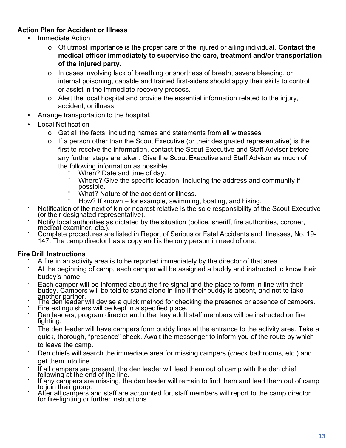# <span id="page-12-0"></span>**Action Plan for Accident or Illness**

- Immediate Action
	- o Of utmost importance is the proper care of the injured or ailing individual. **Contact the medical officer immediately to supervise the care, treatment and/or transportation of the injured party.**
	- o In cases involving lack of breathing or shortness of breath, severe bleeding, or internal poisoning, capable and trained first-aiders should apply their skills to control or assist in the immediate recovery process.
	- o Alert the local hospital and provide the essential information related to the injury, accident, or illness.
- Arrange transportation to the hospital.
- **Local Notification** 
	- o Get all the facts, including names and statements from all witnesses.
	- o If a person other than the Scout Executive (or their designated representative) is the first to receive the information, contact the Scout Executive and Staff Advisor before any further steps are taken. Give the Scout Executive and Staff Advisor as much of the following information as possible.
		- When? Date and time of day.
		- Where? Give the specific location, including the address and community if possible.
		- What? Nature of the accident or illness.
		- How? If known  $-$  for example, swimming, boating, and hiking.
- Notification of the next of kin or nearest relative is the sole responsibility of the Scout Executive (or their designated representative).
- Notify local authorities as dictated by the situation (police, sheriff, fire authorities, coroner, medical examiner, etc.).
- Complete procedures are listed in Report of Serious or Fatal Accidents and Illnesses. No. 19-147. The camp director has a copy and is the only person in need of one.

# **Fire Drill Instructions**

- A fire in an activity area is to be reported immediately by the director of that area.
- At the beginning of camp, each camper will be assigned a buddy and instructed to know their buddy's name.
- Each camper will be informed about the fire signal and the place to form in line with their buddy. Campers will be told to stand alone in line if their buddy is absent, and not to take <u>a</u>nother partner.
- The den leader will devise a quick method for checking the presence or absence of campers.
- Fire extinguishers will be kept in a specified place.
- Den leaders, program director and other key adult staff members will be instructed on fire fighting.
- The den leader will have campers form buddy lines at the entrance to the activity area. Take a quick, thorough, "presence" check. Await the messenger to inform you of the route by which to leave the camp.
- Den chiefs will search the immediate area for missing campers (check bathrooms, etc.) and get them into line.
- If all campers are present, the den leader will lead them out of camp with the den chief following at the end of the line.
- If any campers are missing, the den leader will remain to find them and lead them out of camp to join their group.
- After all campers and staff are accounted for, staff members will report to the camp director for fire-fighting or further instructions.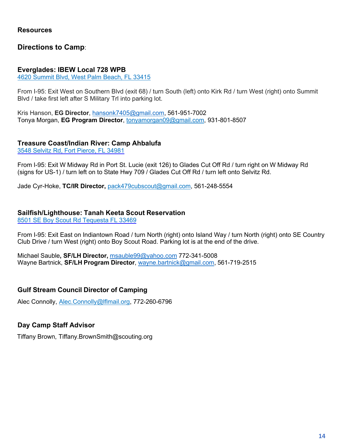#### <span id="page-13-0"></span>**Resources**

# **Directions to Camp**:

#### **Everglades: IBEW Local 728 WPB**

4620 Summit Blvd, West Palm Beach, FL 33415

From I-95: Exit West on Southern Blvd (exit 68) / turn South (left) onto Kirk Rd / turn West (right) onto Summit Blvd / take first left after S Military Trl into parking lot.

Kris Hanson, **EG Director**, [hansonk7405@gmail.com,](mailto:hansonk7405@gmail.com) 561-951-7002 Tonya Morgan, **EG Program Director**, [tonyamorgan09@gmail.com,](mailto:tonyamorgan09@gmail.com) 931-801-8507

### **Treasure Coast/Indian River: Camp Ahbalufa**

3548 Selvitz Rd, Fort Pierce, FL 34981

From I-95: Exit W Midway Rd in Port St. Lucie (exit 126) to Glades Cut Off Rd / turn right on W Midway Rd (signs for US-1) / turn left on to State Hwy 709 / Glades Cut Off Rd / turn left onto Selvitz Rd.

Jade Cyr-Hoke, **TC/IR Director,** [pack479cubscout@gmail.com,](mailto:pack479cubscout@gmail.com) 561-248-5554

### **Sailfish/Lighthouse: Tanah Keeta Scout Reservation**

8501 SE Boy Scout Rd Tequesta FL 33469

From I-95: Exit East on Indiantown Road / turn North (right) onto Island Way / turn North (right) onto SE Country Club Drive / turn West (right) onto Boy Scout Road. Parking lot is at the end of the drive.

Michael Sauble**, SF/LH Director,** [msauble99@yahoo.com](mailto:msauble99@yahoo.com) 772-341-5008 Wayne Bartnick, **SF/LH Program Director**, [wayne.bartnick@gmail.com,](mailto:wayne.bartnick@gmail.com) 561-719-2515

# **Gulf Stream Council Director of Camping**

Alec Connolly, [Alec.Connolly@lflmail.org,](mailto:Alec.Connolly@lflmail.org) 772-260-6796

# **Day Camp Staff Advisor**

Tiffany Brown, Tiffany.BrownSmith@scouting.org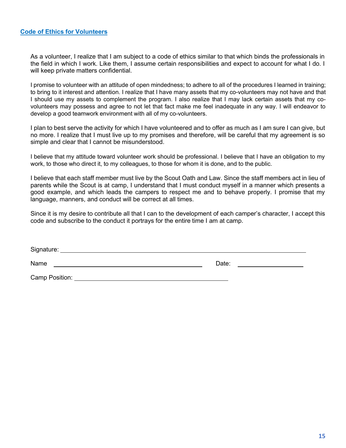#### **Code of Ethics for Volunteers**

As a volunteer, I realize that I am subject to a code of ethics similar to that which binds the professionals in the field in which I work. Like them, I assume certain responsibilities and expect to account for what I do. I will keep private matters confidential.

I promise to volunteer with an attitude of open mindedness; to adhere to all of the procedures I learned in training; to bring to it interest and attention. I realize that I have many assets that my co-volunteers may not have and that I should use my assets to complement the program. I also realize that I may lack certain assets that my covolunteers may possess and agree to not let that fact make me feel inadequate in any way. I will endeavor to develop a good teamwork environment with all of my co-volunteers.

I plan to best serve the activity for which I have volunteered and to offer as much as I am sure I can give, but no more. I realize that I must live up to my promises and therefore, will be careful that my agreement is so simple and clear that I cannot be misunderstood.

I believe that my attitude toward volunteer work should be professional. I believe that I have an obligation to my work, to those who direct it, to my colleagues, to those for whom it is done, and to the public.

I believe that each staff member must live by the Scout Oath and Law. Since the staff members act in lieu of parents while the Scout is at camp, I understand that I must conduct myself in a manner which presents a good example, and which leads the campers to respect me and to behave properly. I promise that my language, manners, and conduct will be correct at all times.

Since it is my desire to contribute all that I can to the development of each camper's character, I accept this code and subscribe to the conduct it portrays for the entire time I am at camp.

Signature:

Name Date:

Camp Position: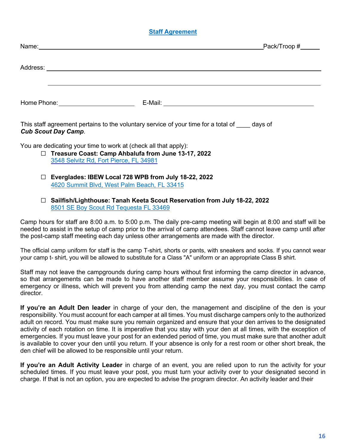## **Staff Agreement**

| Name:<br>a sa bagaimar a ta 1970. An t-aistean an t-aistean an t-aistean an t-aistean an t-aistean an t-aistean an t-ai             |         | $Pack/Trop # \_\_\_\_\_\_$ |
|-------------------------------------------------------------------------------------------------------------------------------------|---------|----------------------------|
|                                                                                                                                     |         |                            |
| Address:<br><u> 1980 - Jan Samuel Barbara, martin a shekara tsara 1980 - An tsara 1980 - An tsara 1980 - An tsara 1980 - An tsa</u> |         |                            |
|                                                                                                                                     |         |                            |
|                                                                                                                                     |         |                            |
| Home Phone:                                                                                                                         | E-Mail: |                            |

This staff agreement pertains to the voluntary service of your time for a total of days of *Cub Scout Day Camp*.

You are dedicating your time to work at (check all that apply):

- ☐ **Treasure Coast: Camp Ahbalufa from June 13-17, 2022** 3548 Selvitz Rd, Fort Pierce, FL 34981
- ☐ **Everglades: IBEW Local 728 WPB from July 18-22, 2022** 4620 Summit Blvd, West Palm Beach, FL 33415
- ☐ **Sailfish/Lighthouse: Tanah Keeta Scout Reservation from July 18-22, 2022** 8501 SE Boy Scout Rd Tequesta FL 33469

Camp hours for staff are 8:00 a.m. to 5:00 p.m. The daily pre-camp meeting will begin at 8:00 and staff will be needed to assist in the setup of camp prior to the arrival of camp attendees. Staff cannot leave camp until after the post-camp staff meeting each day unless other arrangements are made with the director.

The official camp uniform for staff is the camp T-shirt, shorts or pants, with sneakers and socks. If you cannot wear your camp t- shirt, you will be allowed to substitute for a Class "A" uniform or an appropriate Class B shirt.

Staff may not leave the campgrounds during camp hours without first informing the camp director in advance, so that arrangements can be made to have another staff member assume your responsibilities. In case of emergency or illness, which will prevent you from attending camp the next day, you must contact the camp director.

**If you're an Adult Den leader** in charge of your den, the management and discipline of the den is your responsibility. You must account for each camper at all times. You must discharge campers only to the authorized adult on record. You must make sure you remain organized and ensure that your den arrives to the designated activity of each rotation on time. It is imperative that you stay with your den at all times, with the exception of emergencies. If you must leave your post for an extended period of time, you must make sure that another adult is available to cover your den until you return. If your absence is only for a rest room or other short break, the den chief will be allowed to be responsible until your return.

**If you're an Adult Activity Leader** in charge of an event, you are relied upon to run the activity for your scheduled times. If you must leave your post, you must turn your activity over to your designated second in charge. If that is not an option, you are expected to advise the program director. An activity leader and their